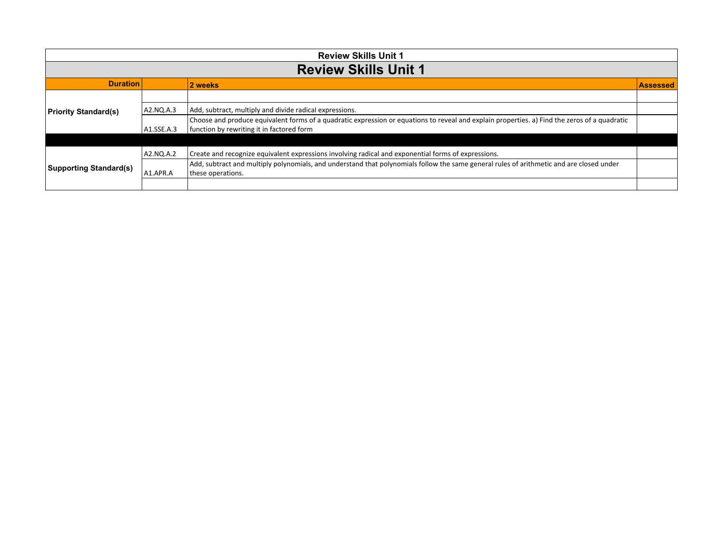| <b>Review Skills Unit 1</b>   |            |                                                                                                                                                                                            |                 |
|-------------------------------|------------|--------------------------------------------------------------------------------------------------------------------------------------------------------------------------------------------|-----------------|
|                               |            | <b>Review Skills Unit 1</b>                                                                                                                                                                |                 |
| <b>Duration</b>               |            | 2 weeks                                                                                                                                                                                    | <b>Assessed</b> |
|                               |            |                                                                                                                                                                                            |                 |
| <b>Priority Standard(s)</b>   | A2.NQ.A.3  | Add, subtract, multiply and divide radical expressions.                                                                                                                                    |                 |
|                               | A1.SSE.A.3 | Choose and produce equivalent forms of a quadratic expression or equations to reveal and explain properties. a) Find the zeros of a quadratic<br>function by rewriting it in factored form |                 |
|                               |            |                                                                                                                                                                                            |                 |
|                               | A2.NO.A.2  | Create and recognize equivalent expressions involving radical and exponential forms of expressions.                                                                                        |                 |
| <b>Supporting Standard(s)</b> | A1.APR.A   | Add, subtract and multiply polynomials, and understand that polynomials follow the same general rules of arithmetic and are closed under<br>these operations.                              |                 |
|                               |            |                                                                                                                                                                                            |                 |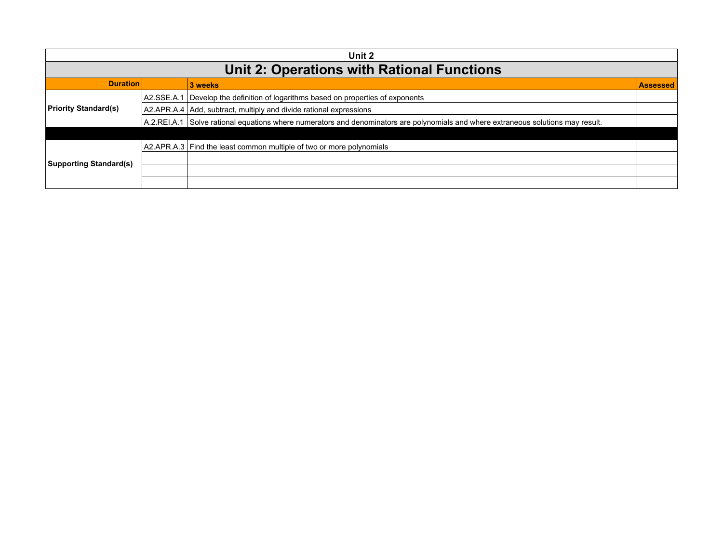| Unit 2                        |             |                                                                                                                                   |                 |
|-------------------------------|-------------|-----------------------------------------------------------------------------------------------------------------------------------|-----------------|
|                               |             | <b>Unit 2: Operations with Rational Functions</b>                                                                                 |                 |
| <b>Duration</b>               |             | 3 weeks                                                                                                                           | <b>Assessed</b> |
|                               | IA2.SSE.A.1 | Develop the definition of logarithms based on properties of exponents                                                             |                 |
| <b>Priority Standard(s)</b>   |             | A2.APR.A.4 Add, subtract, multiply and divide rational expressions                                                                |                 |
|                               |             | A.2.REI.A.1 Solve rational equations where numerators and denominators are polynomials and where extraneous solutions may result. |                 |
|                               |             |                                                                                                                                   |                 |
|                               |             | A2.APR.A.3 Find the least common multiple of two or more polynomials                                                              |                 |
| <b>Supporting Standard(s)</b> |             |                                                                                                                                   |                 |
|                               |             |                                                                                                                                   |                 |
|                               |             |                                                                                                                                   |                 |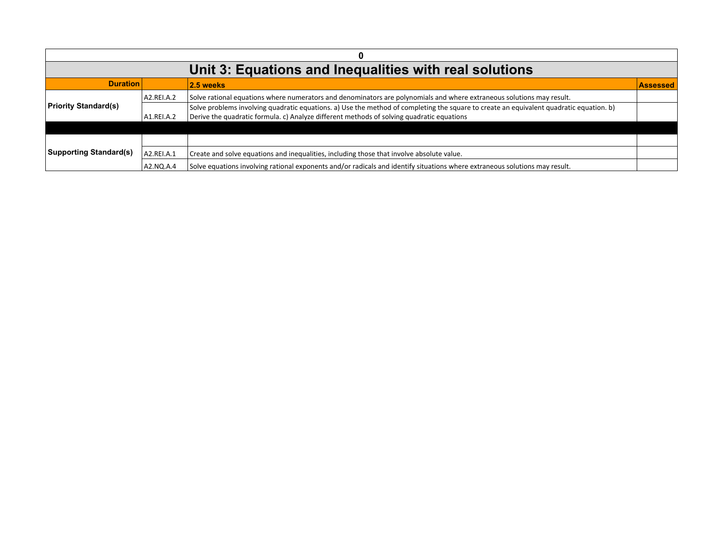|                               | Unit 3: Equations and Inequalities with real solutions |                                                                                                                                         |                 |  |
|-------------------------------|--------------------------------------------------------|-----------------------------------------------------------------------------------------------------------------------------------------|-----------------|--|
| <b>Duration</b>               |                                                        | 2.5 weeks                                                                                                                               | <b>Assessed</b> |  |
|                               | A2.REI.A.2                                             | Solve rational equations where numerators and denominators are polynomials and where extraneous solutions may result.                   |                 |  |
| <b>Priority Standard(s)</b>   |                                                        | Solve problems involving quadratic equations. a) Use the method of completing the square to create an equivalent quadratic equation. b) |                 |  |
|                               | A1.REI.A.2                                             | Derive the quadratic formula. c) Analyze different methods of solving quadratic equations                                               |                 |  |
|                               |                                                        |                                                                                                                                         |                 |  |
| <b>Supporting Standard(s)</b> |                                                        |                                                                                                                                         |                 |  |
|                               | A2.REI.A.1                                             | Create and solve equations and inequalities, including those that involve absolute value.                                               |                 |  |
|                               | A2.NO.A.4                                              | Solve equations involving rational exponents and/or radicals and identify situations where extraneous solutions may result.             |                 |  |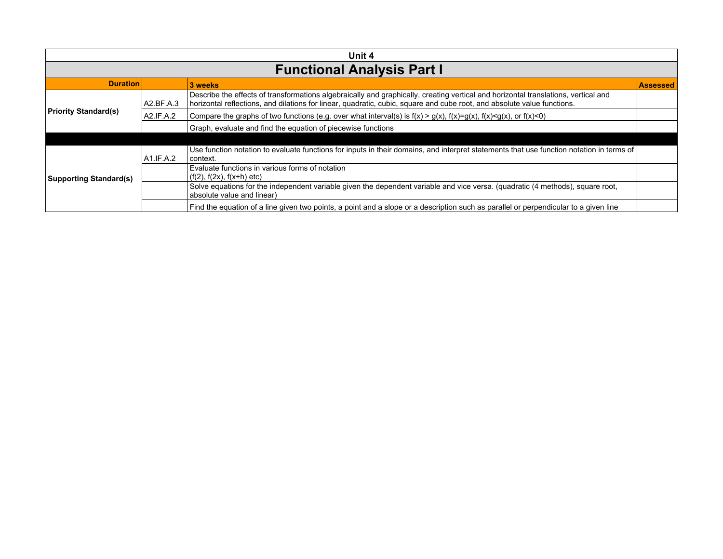| Unit 4                        |           |                                                                                                                                                                                                                                                               |                 |
|-------------------------------|-----------|---------------------------------------------------------------------------------------------------------------------------------------------------------------------------------------------------------------------------------------------------------------|-----------------|
|                               |           | <b>Functional Analysis Part I</b>                                                                                                                                                                                                                             |                 |
| <b>Duration</b>               |           | 3 weeks                                                                                                                                                                                                                                                       | <b>Assessed</b> |
|                               | A2.BF.A.3 | Describe the effects of transformations algebraically and graphically, creating vertical and horizontal translations, vertical and<br>horizontal reflections, and dilations for linear, quadratic, cubic, square and cube root, and absolute value functions. |                 |
| <b>Priority Standard(s)</b>   | A2.IF.A.2 | Compare the graphs of two functions (e.g. over what interval(s) is $f(x) > g(x)$ , $f(x)=g(x)$ , $f(x) < g(x)$ , or $f(x) < 0$ )                                                                                                                              |                 |
|                               |           | Graph, evaluate and find the equation of piecewise functions                                                                                                                                                                                                  |                 |
|                               |           |                                                                                                                                                                                                                                                               |                 |
| <b>Supporting Standard(s)</b> | A1.IF.A.2 | Use function notation to evaluate functions for inputs in their domains, and interpret statements that use function notation in terms of<br>l context.                                                                                                        |                 |
|                               |           | Evaluate functions in various forms of notation<br>$(f(2), f(2x), f(x+h))$ etc)                                                                                                                                                                               |                 |
|                               |           | Solve equations for the independent variable given the dependent variable and vice versa. (quadratic (4 methods), square root,<br>absolute value and linear)                                                                                                  |                 |
|                               |           | Find the equation of a line given two points, a point and a slope or a description such as parallel or perpendicular to a given line                                                                                                                          |                 |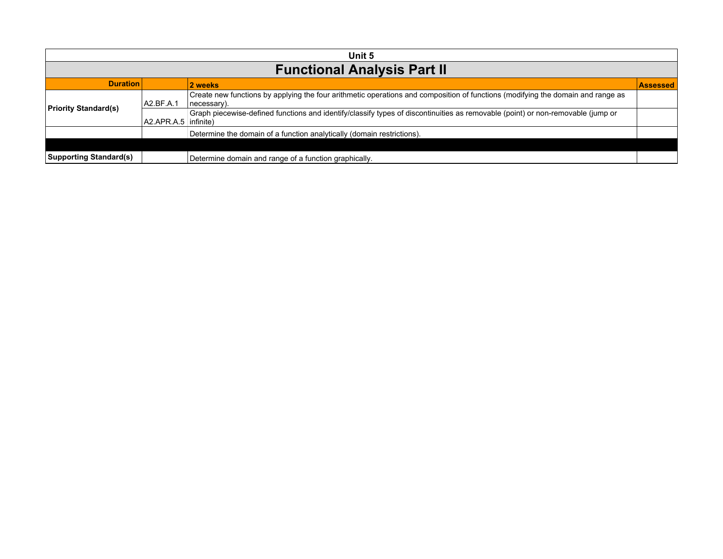| Unit 5                        |                        |                                                                                                                                                 |                 |  |
|-------------------------------|------------------------|-------------------------------------------------------------------------------------------------------------------------------------------------|-----------------|--|
|                               |                        | <b>Functional Analysis Part II</b>                                                                                                              |                 |  |
| <b>Duration</b>               |                        | 2 weeks                                                                                                                                         | <b>Assessed</b> |  |
|                               | A2.BF.A.1              | Create new functions by applying the four arithmetic operations and composition of functions (modifying the domain and range as<br>(necessary). |                 |  |
| <b>Priority Standard(s)</b>   | AZ.APR.A.5   infinite) | Graph piecewise-defined functions and identify/classify types of discontinuities as removable (point) or non-removable (jump or                 |                 |  |
|                               |                        | Determine the domain of a function analytically (domain restrictions).                                                                          |                 |  |
|                               |                        |                                                                                                                                                 |                 |  |
| <b>Supporting Standard(s)</b> |                        | Determine domain and range of a function graphically.                                                                                           |                 |  |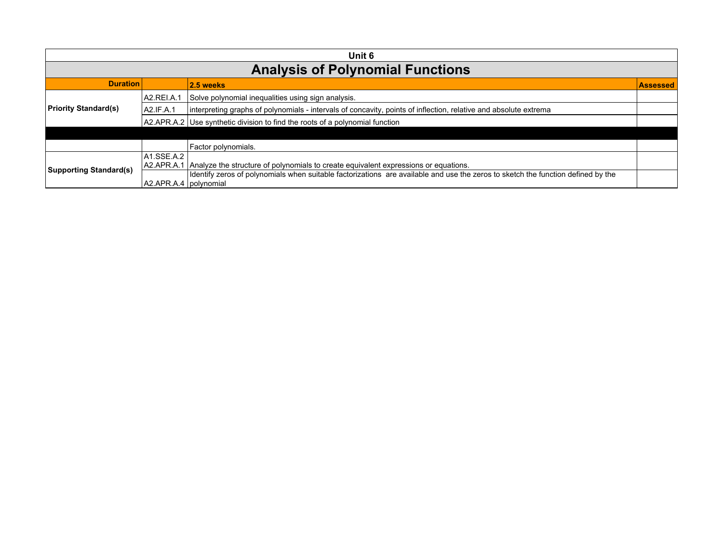|                               | Unit 6                                  |                                                                                                                                                                                                                         |                 |  |
|-------------------------------|-----------------------------------------|-------------------------------------------------------------------------------------------------------------------------------------------------------------------------------------------------------------------------|-----------------|--|
|                               | <b>Analysis of Polynomial Functions</b> |                                                                                                                                                                                                                         |                 |  |
| <b>Duration</b>               |                                         | 2.5 weeks                                                                                                                                                                                                               | <b>Assessed</b> |  |
|                               | A2.REI.A.1                              | Solve polynomial inequalities using sign analysis.                                                                                                                                                                      |                 |  |
| <b>Priority Standard(s)</b>   | A2.IF.A.1                               | interpreting graphs of polynomials - intervals of concavity, points of inflection, relative and absolute extrema                                                                                                        |                 |  |
|                               |                                         | A2.APR.A.2 Use synthetic division to find the roots of a polynomial function                                                                                                                                            |                 |  |
|                               |                                         |                                                                                                                                                                                                                         |                 |  |
|                               |                                         | Factor polynomials.                                                                                                                                                                                                     |                 |  |
| <b>Supporting Standard(s)</b> | $ $ A1.SSE.A.2 $ $                      |                                                                                                                                                                                                                         |                 |  |
|                               | A2.APR.A.1                              | Analyze the structure of polynomials to create equivalent expressions or equations.<br>Identify zeros of polynomials when suitable factorizations are available and use the zeros to sketch the function defined by the |                 |  |
|                               | A2.APR.A.4   polynomial                 |                                                                                                                                                                                                                         |                 |  |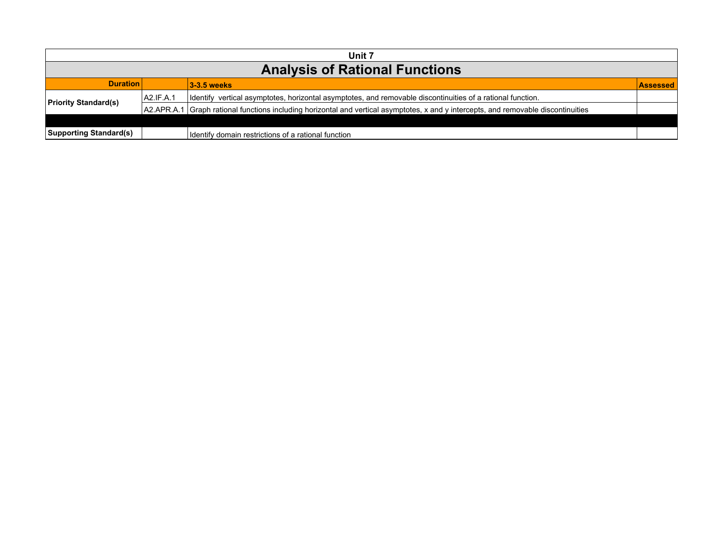| Unit 7                                |           |                                                                                                                                     |                 |  |
|---------------------------------------|-----------|-------------------------------------------------------------------------------------------------------------------------------------|-----------------|--|
| <b>Analysis of Rational Functions</b> |           |                                                                                                                                     |                 |  |
| <b>Duration</b>                       |           | 3-3.5 weeks                                                                                                                         | <b>Assessed</b> |  |
| <b>Priority Standard(s)</b>           | A2.IF.A.1 | Identify vertical asymptotes, horizontal asymptotes, and removable discontinuities of a rational function.                          |                 |  |
|                                       |           | A2.APR.A.1 Graph rational functions including horizontal and vertical asymptotes, x and y intercepts, and removable discontinuities |                 |  |
|                                       |           |                                                                                                                                     |                 |  |
| <b>Supporting Standard(s)</b>         |           | Identify domain restrictions of a rational function                                                                                 |                 |  |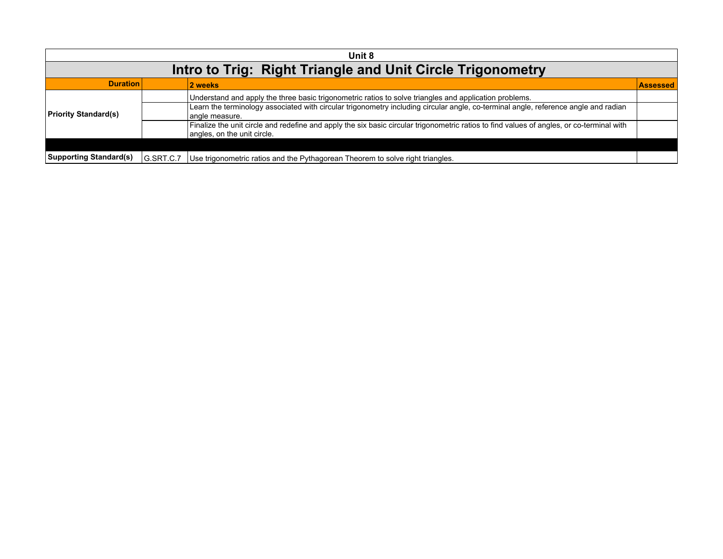| Unit 8                        |           |                                                                                                                                                                          |                 |  |
|-------------------------------|-----------|--------------------------------------------------------------------------------------------------------------------------------------------------------------------------|-----------------|--|
|                               |           | Intro to Trig: Right Triangle and Unit Circle Trigonometry                                                                                                               |                 |  |
| <b>Duration</b>               |           | 2 weeks                                                                                                                                                                  | <b>Assessed</b> |  |
|                               |           | Understand and apply the three basic trigonometric ratios to solve triangles and application problems.                                                                   |                 |  |
| <b>Priority Standard(s)</b>   |           | Learn the terminology associated with circular trigonometry including circular angle, co-terminal angle, reference angle and radian<br>angle measure.                    |                 |  |
|                               |           | Finalize the unit circle and redefine and apply the six basic circular trigonometric ratios to find values of angles, or co-terminal with<br>angles, on the unit circle. |                 |  |
|                               |           |                                                                                                                                                                          |                 |  |
| <b>Supporting Standard(s)</b> | G.SRT.C.7 | Use trigonometric ratios and the Pythagorean Theorem to solve right triangles.                                                                                           |                 |  |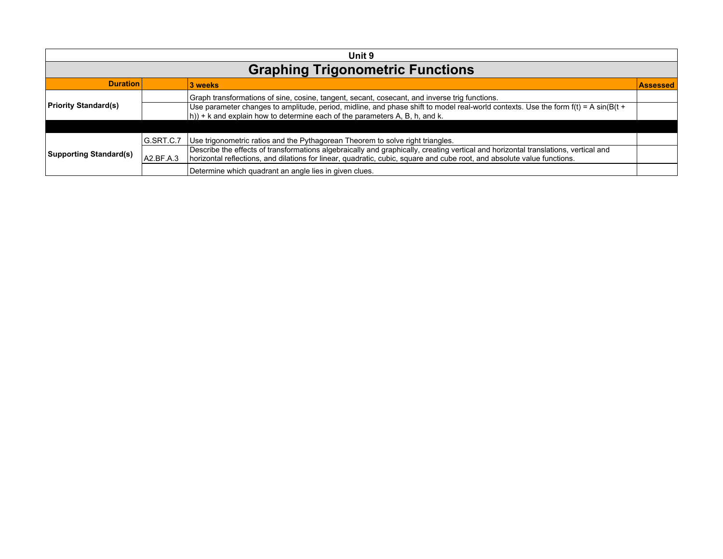| Unit 9                        |                                         |                                                                                                                                                                                                                                                               |                 |  |
|-------------------------------|-----------------------------------------|---------------------------------------------------------------------------------------------------------------------------------------------------------------------------------------------------------------------------------------------------------------|-----------------|--|
|                               | <b>Graphing Trigonometric Functions</b> |                                                                                                                                                                                                                                                               |                 |  |
| <b>Duration</b>               |                                         | 3 weeks                                                                                                                                                                                                                                                       | <b>Assessed</b> |  |
|                               |                                         | Graph transformations of sine, cosine, tangent, secant, cosecant, and inverse trig functions.                                                                                                                                                                 |                 |  |
| <b>Priority Standard(s)</b>   |                                         | Use parameter changes to amplitude, period, midline, and phase shift to model real-world contexts. Use the form f(t) = A sin(B(t +<br>$(h)$ + k and explain how to determine each of the parameters A, B, h, and k.                                           |                 |  |
|                               |                                         |                                                                                                                                                                                                                                                               |                 |  |
|                               | G.SRT.C.7                               | Use trigonometric ratios and the Pythagorean Theorem to solve right triangles.                                                                                                                                                                                |                 |  |
| <b>Supporting Standard(s)</b> | A2.BF.A.3                               | Describe the effects of transformations algebraically and graphically, creating vertical and horizontal translations, vertical and<br>horizontal reflections, and dilations for linear, quadratic, cubic, square and cube root, and absolute value functions. |                 |  |
|                               |                                         | Determine which quadrant an angle lies in given clues.                                                                                                                                                                                                        |                 |  |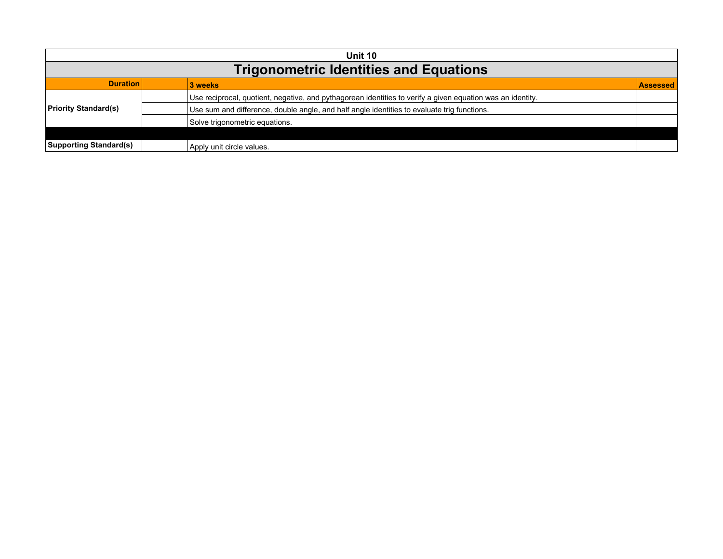| Unit 10                                       |                                                                                                            |          |  |
|-----------------------------------------------|------------------------------------------------------------------------------------------------------------|----------|--|
| <b>Trigonometric Identities and Equations</b> |                                                                                                            |          |  |
| <b>Duration</b>                               | 3 weeks                                                                                                    | Assessed |  |
|                                               | Use reciprocal, quotient, negative, and pythagorean identities to verify a given equation was an identity. |          |  |
| <b>Priority Standard(s)</b>                   | Use sum and difference, double angle, and half angle identities to evaluate trig functions.                |          |  |
|                                               | Solve trigonometric equations.                                                                             |          |  |
|                                               |                                                                                                            |          |  |
| <b>Supporting Standard(s)</b>                 | Apply unit circle values.                                                                                  |          |  |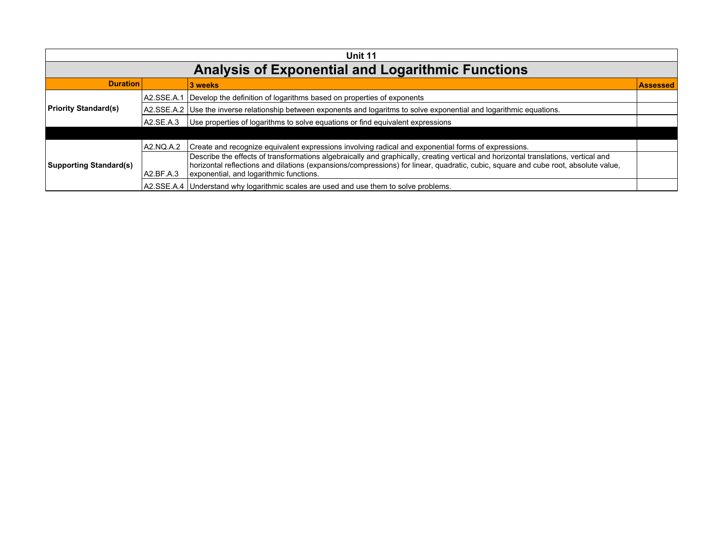| Unit 11                       |            |                                                                                                                                                                                                                                                                          |                 |
|-------------------------------|------------|--------------------------------------------------------------------------------------------------------------------------------------------------------------------------------------------------------------------------------------------------------------------------|-----------------|
|                               |            | <b>Analysis of Exponential and Logarithmic Functions</b>                                                                                                                                                                                                                 |                 |
| <b>Duration</b>               |            | 3 weeks                                                                                                                                                                                                                                                                  | <b>Assessed</b> |
|                               | A2.SSE.A.1 | Develop the definition of logarithms based on properties of exponents                                                                                                                                                                                                    |                 |
| <b>Priority Standard(s)</b>   |            | A2.SSE.A.2 Use the inverse relationship between exponents and logaritms to solve exponential and logarithmic equations.                                                                                                                                                  |                 |
|                               | A2.SE.A.3  | Use properties of logarithms to solve equations or find equivalent expressions                                                                                                                                                                                           |                 |
|                               |            |                                                                                                                                                                                                                                                                          |                 |
|                               | A2.NQ.A.2  | Create and recognize equivalent expressions involving radical and exponential forms of expressions.                                                                                                                                                                      |                 |
| <b>Supporting Standard(s)</b> |            | Describe the effects of transformations algebraically and graphically, creating vertical and horizontal translations, vertical and<br>horizontal reflections and dilations (expansions/compressions) for linear, quadratic, cubic, square and cube root, absolute value, |                 |
|                               | A2.BF.A.3  | exponential, and logarithmic functions.                                                                                                                                                                                                                                  |                 |
|                               |            | A2.SSE.A.4   Understand why logarithmic scales are used and use them to solve problems.                                                                                                                                                                                  |                 |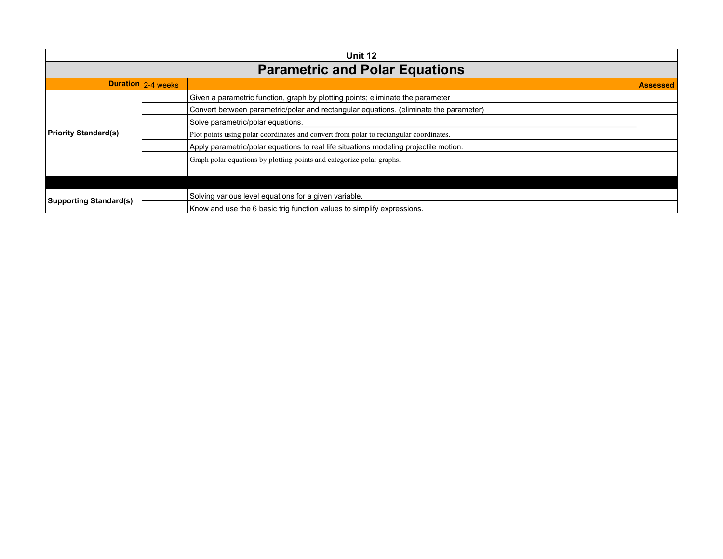| Unit 12                       |                    |                                                                                        |          |
|-------------------------------|--------------------|----------------------------------------------------------------------------------------|----------|
|                               |                    | <b>Parametric and Polar Equations</b>                                                  |          |
|                               | Duration 2-4 weeks |                                                                                        | Assessed |
|                               |                    | Given a parametric function, graph by plotting points; eliminate the parameter         |          |
|                               |                    | Convert between parametric/polar and rectangular equations. (eliminate the parameter)  |          |
|                               |                    | Solve parametric/polar equations.                                                      |          |
| <b>Priority Standard(s)</b>   |                    | Plot points using polar coordinates and convert from polar to rectangular coordinates. |          |
|                               |                    | Apply parametric/polar equations to real life situations modeling projectile motion.   |          |
|                               |                    | Graph polar equations by plotting points and categorize polar graphs.                  |          |
|                               |                    |                                                                                        |          |
|                               |                    |                                                                                        |          |
| <b>Supporting Standard(s)</b> |                    | Solving various level equations for a given variable.                                  |          |
|                               |                    | Know and use the 6 basic trig function values to simplify expressions.                 |          |